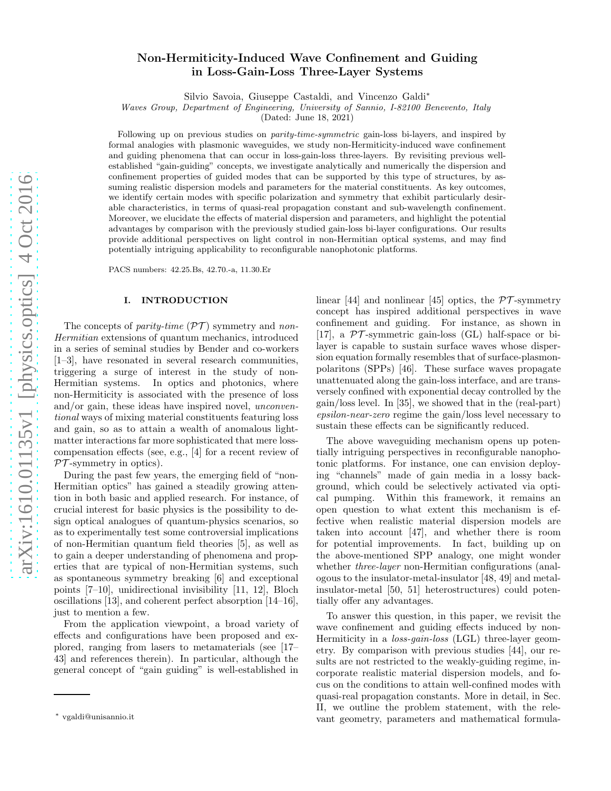# Non-Hermiticity-Induced Wave Confinement and Guiding in Loss-Gain-Loss Three-Layer Systems

Silvio Savoia, Giuseppe Castaldi, and Vincenzo Galdi<sup>∗</sup>

*Waves Group, Department of Engineering, University of Sannio, I-82100 Benevento, Italy*

(Dated: June 18, 2021)

Following up on previous studies on *parity-time-symmetric* gain-loss bi-layers, and inspired by formal analogies with plasmonic waveguides, we study non-Hermiticity-induced wave confinement and guiding phenomena that can occur in loss-gain-loss three-layers. By revisiting previous wellestablished "gain-guiding" concepts, we investigate analytically and numerically the dispersion and confinement properties of guided modes that can be supported by this type of structures, by assuming realistic dispersion models and parameters for the material constituents. As key outcomes, we identify certain modes with specific polarization and symmetry that exhibit particularly desirable characteristics, in terms of quasi-real propagation constant and sub-wavelength confinement. Moreover, we elucidate the effects of material dispersion and parameters, and highlight the potential advantages by comparison with the previously studied gain-loss bi-layer configurations. Our results provide additional perspectives on light control in non-Hermitian optical systems, and may find potentially intriguing applicability to reconfigurable nanophotonic platforms.

PACS numbers: 42.25.Bs, 42.70.-a, 11.30.Er

#### I. INTRODUCTION

The concepts of *parity-time*  $(\mathcal{PT})$  symmetry and *non-*Hermitian extensions of quantum mechanics, introduced in a series of seminal studies by Bender and co-workers [1–3], have resonated in several research communities, triggering a surge of interest in the study of non-Hermitian systems. In optics and photonics, where non-Hermiticity is associated with the presence of loss and/or gain, these ideas have inspired novel, *unconven*tional ways of mixing material constituents featuring loss and gain, so as to attain a wealth of anomalous lightmatter interactions far more sophisticated that mere losscompensation effects (see, e.g., [4] for a recent review of  $PT$ -symmetry in optics).

During the past few years, the emerging field of "non-Hermitian optics" has gained a steadily growing attention in both basic and applied research. For instance, of crucial interest for basic physics is the possibility to design optical analogues of quantum-physics scenarios, so as to experimentally test some controversial implications of non-Hermitian quantum field theories [5], as well as to gain a deeper understanding of phenomena and properties that are typical of non-Hermitian systems, such as spontaneous symmetry breaking [6] and exceptional points [7–10], unidirectional invisibility [11, 12], Bloch oscillations [13], and coherent perfect absorption [14–16], just to mention a few.

From the application viewpoint, a broad variety of effects and configurations have been proposed and explored, ranging from lasers to metamaterials (see [17– 43] and references therein). In particular, although the general concept of "gain guiding" is well-established in

linear [44] and nonlinear [45] optics, the  $\mathcal{PT}$ -symmetry concept has inspired additional perspectives in wave confinement and guiding. For instance, as shown in [17], a  $\mathcal{PT}$ -symmetric gain-loss (GL) half-space or bilayer is capable to sustain surface waves whose dispersion equation formally resembles that of surface-plasmonpolaritons (SPPs) [46]. These surface waves propagate unattenuated along the gain-loss interface, and are transversely confined with exponential decay controlled by the gain/loss level. In [35], we showed that in the (real-part) epsilon-near-zero regime the gain/loss level necessary to sustain these effects can be significantly reduced.

The above waveguiding mechanism opens up potentially intriguing perspectives in reconfigurable nanophotonic platforms. For instance, one can envision deploying "channels" made of gain media in a lossy background, which could be selectively activated via optical pumping. Within this framework, it remains an open question to what extent this mechanism is effective when realistic material dispersion models are taken into account [47], and whether there is room for potential improvements. In fact, building up on the above-mentioned SPP analogy, one might wonder whether *three-layer* non-Hermitian configurations (analogous to the insulator-metal-insulator [48, 49] and metalinsulator-metal [50, 51] heterostructures) could potentially offer any advantages.

To answer this question, in this paper, we revisit the wave confinement and guiding effects induced by non-Hermiticity in a loss-gain-loss (LGL) three-layer geometry. By comparison with previous studies [44], our results are not restricted to the weakly-guiding regime, incorporate realistic material dispersion models, and focus on the conditions to attain well-confined modes with quasi-real propagation constants. More in detail, in Sec. II, we outline the problem statement, with the relevant geometry, parameters and mathematical formula-

<sup>∗</sup> vgaldi@unisannio.it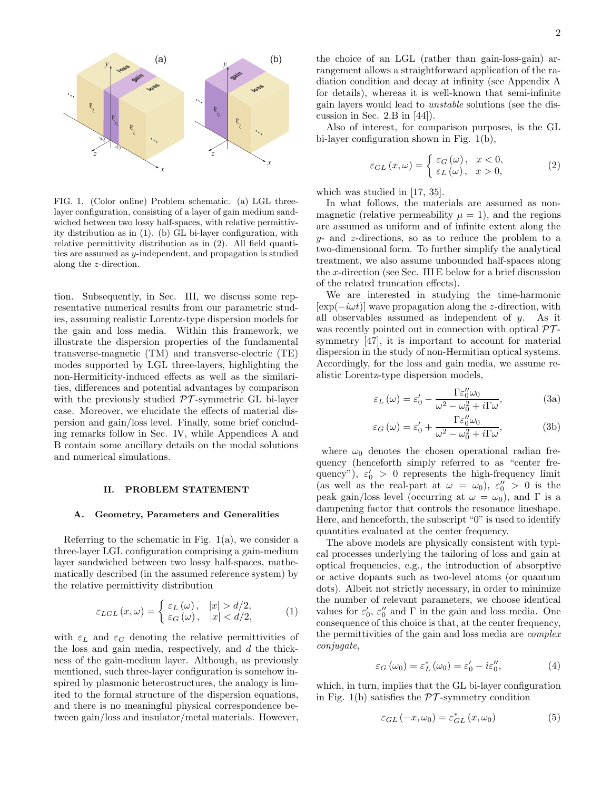

FIG. 1. (Color online) Problem schematic. (a) LGL threelayer configuration, consisting of a layer of gain medium sandwiched between two lossy half-spaces, with relative permittivity distribution as in (1). (b) GL bi-layer configuration, with relative permittivity distribution as in (2). All field quantities are assumed as y-independent, and propagation is studied along the z-direction.

tion. Subsequently, in Sec. III, we discuss some representative numerical results from our parametric studies, assuming realistic Lorentz-type dispersion models for the gain and loss media. Within this framework, we illustrate the dispersion properties of the fundamental transverse-magnetic (TM) and transverse-electric (TE) modes supported by LGL three-layers, highlighting the non-Hermiticity-induced effects as well as the similarities, differences and potential advantages by comparison with the previously studied  $\mathcal{PT}$ -symmetric GL bi-layer case. Moreover, we elucidate the effects of material dispersion and gain/loss level. Finally, some brief concluding remarks follow in Sec. IV, while Appendices A and B contain some ancillary details on the modal solutions and numerical simulations.

#### II. PROBLEM STATEMENT

#### A. Geometry, Parameters and Generalities

Referring to the schematic in Fig. 1(a), we consider a three-layer LGL configuration comprising a gain-medium layer sandwiched between two lossy half-spaces, mathematically described (in the assumed reference system) by the relative permittivity distribution

$$
\varepsilon_{LGL}(x,\omega) = \begin{cases} \varepsilon_L(\omega), & |x| > d/2, \\ \varepsilon_G(\omega), & |x| < d/2, \end{cases}
$$
 (1)

with  $\varepsilon_L$  and  $\varepsilon_G$  denoting the relative permittivities of the loss and gain media, respectively, and d the thickness of the gain-medium layer. Although, as previously mentioned, such three-layer configuration is somehow inspired by plasmonic heterostructures, the analogy is limited to the formal structure of the dispersion equations, and there is no meaningful physical correspondence between gain/loss and insulator/metal materials. However, the choice of an LGL (rather than gain-loss-gain) arrangement allows a straightforward application of the radiation condition and decay at infinity (see Appendix A for details), whereas it is well-known that semi-infinite gain layers would lead to unstable solutions (see the discussion in Sec. 2.B in [44]).

Also of interest, for comparison purposes, is the GL bi-layer configuration shown in Fig. 1(b),

$$
\varepsilon_{GL}(x,\omega) = \begin{cases} \varepsilon_G(\omega), & x < 0, \\ \varepsilon_L(\omega), & x > 0, \end{cases}
$$
 (2)

which was studied in [17, 35].

In what follows, the materials are assumed as nonmagnetic (relative permeability  $\mu = 1$ ), and the regions are assumed as uniform and of infinite extent along the  $y$ - and z-directions, so as to reduce the problem to a two-dimensional form. To further simplify the analytical treatment, we also assume unbounded half-spaces along the x-direction (see Sec. III E below for a brief discussion of the related truncation effects).

We are interested in studying the time-harmonic  $[\exp(-i\omega t)]$  wave propagation along the z-direction, with all observables assumed as independent of  $y$ . As it was recently pointed out in connection with optical  $\mathcal{PT}$ symmetry [47], it is important to account for material dispersion in the study of non-Hermitian optical systems. Accordingly, for the loss and gain media, we assume realistic Lorentz-type dispersion models,

$$
\varepsilon_L(\omega) = \varepsilon'_0 - \frac{\Gamma \varepsilon''_0 \omega_0}{\omega^2 - \omega_0^2 + i\Gamma \omega},\tag{3a}
$$

$$
\varepsilon_G(\omega) = \varepsilon'_0 + \frac{\Gamma \varepsilon''_0 \omega_0}{\omega^2 - \omega_0^2 + i\Gamma \omega},\tag{3b}
$$

where  $\omega_0$  denotes the chosen operational radian frequency (henceforth simply referred to as "center frequency"),  $\varepsilon_0' > 0$  represents the high-frequency limit (as well as the real-part at  $\omega = \omega_0$ ),  $\varepsilon_0'' > 0$  is the peak gain/loss level (occurring at  $\omega = \omega_0$ ), and Γ is a dampening factor that controls the resonance lineshape. Here, and henceforth, the subscript "0" is used to identify quantities evaluated at the center frequency.

The above models are physically consistent with typical processes underlying the tailoring of loss and gain at optical frequencies, e.g., the introduction of absorptive or active dopants such as two-level atoms (or quantum dots). Albeit not strictly necessary, in order to minimize the number of relevant parameters, we choose identical values for  $\varepsilon_0$ ,  $\varepsilon_0''$  and  $\Gamma$  in the gain and loss media. One consequence of this choice is that, at the center frequency, the permittivities of the gain and loss media are complex conjugate,

$$
\varepsilon_G(\omega_0) = \varepsilon_L^* (\omega_0) = \varepsilon'_0 - i\varepsilon_0'', \tag{4}
$$

which, in turn, implies that the GL bi-layer configuration in Fig. 1(b) satisfies the  $\mathcal{PT}$ -symmetry condition

$$
\varepsilon_{GL}\left(-x,\omega_{0}\right)=\varepsilon_{GL}^{*}\left(x,\omega_{0}\right)
$$
 (5)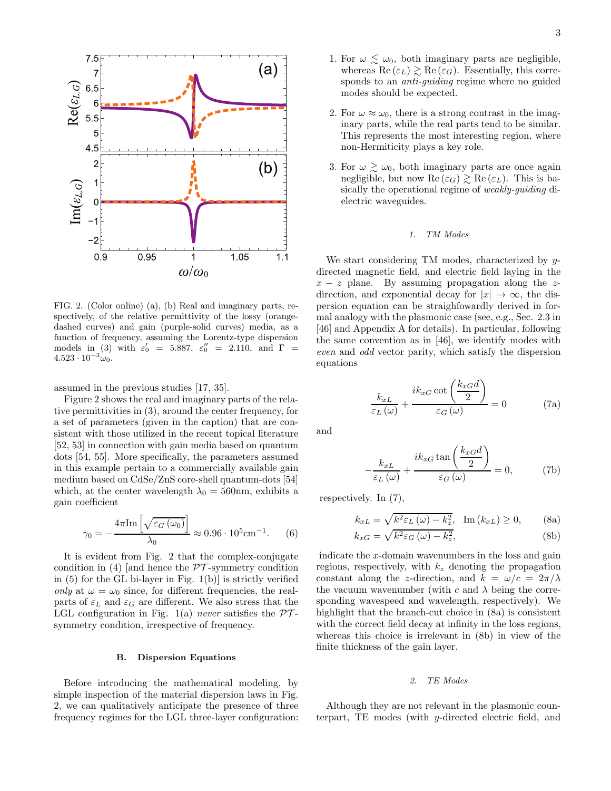

FIG. 2. (Color online) (a), (b) Real and imaginary parts, respectively, of the relative permittivity of the lossy (orangedashed curves) and gain (purple-solid curves) media, as a function of frequency, assuming the Lorentz-type dispersion models in (3) with  $\varepsilon'_0$  = 5.887,  $\varepsilon''_0$  = 2.110, and  $\Gamma$  =  $4.523 \cdot 10^{-3} \omega_0$ .

assumed in the previous studies [17, 35].

Figure 2 shows the real and imaginary parts of the relative permittivities in (3), around the center frequency, for a set of parameters (given in the caption) that are consistent with those utilized in the recent topical literature [52, 53] in connection with gain media based on quantum dots [54, 55]. More specifically, the parameters assumed in this example pertain to a commercially available gain medium based on CdSe/ZnS core-shell quantum-dots [54] which, at the center wavelength  $\lambda_0 = 560$ nm, exhibits a gain coefficient

$$
\gamma_0 = -\frac{4\pi \text{Im}\left[\sqrt{\varepsilon_G\left(\omega_0\right)}\right]}{\lambda_0} \approx 0.96 \cdot 10^5 \text{cm}^{-1}.
$$
 (6)

It is evident from Fig. 2 that the complex-conjugate condition in (4) [and hence the  $\mathcal{PT}$ -symmetry condition in  $(5)$  for the GL bi-layer in Fig.  $1(b)$  is strictly verified only at  $\omega = \omega_0$  since, for different frequencies, the realparts of  $\varepsilon_L$  and  $\varepsilon_G$  are different. We also stress that the LGL configuration in Fig. 1(a) never satisfies the  $\mathcal{PT}$ symmetry condition, irrespective of frequency.

# B. Dispersion Equations

Before introducing the mathematical modeling, by simple inspection of the material dispersion laws in Fig. 2, we can qualitatively anticipate the presence of three frequency regimes for the LGL three-layer configuration:

- 1. For  $\omega \lesssim \omega_0$ , both imaginary parts are negligible, whereas Re  $(\varepsilon_L) \gtrsim \text{Re}(\varepsilon_G)$ . Essentially, this corresponds to an *anti-guiding* regime where no guided modes should be expected.
- 2. For  $\omega \approx \omega_0$ , there is a strong contrast in the imaginary parts, while the real parts tend to be similar. This represents the most interesting region, where non-Hermiticity plays a key role.
- 3. For  $\omega \gtrsim \omega_0$ , both imaginary parts are once again negligible, but now  $\text{Re}(\varepsilon_G) \gtrsim \text{Re}(\varepsilon_L)$ . This is basically the operational regime of weakly-guiding dielectric waveguides.

### *1. TM Modes*

We start considering TM modes, characterized by ydirected magnetic field, and electric field laying in the  $x - z$  plane. By assuming propagation along the zdirection, and exponential decay for  $|x| \to \infty$ , the dispersion equation can be straighfowardly derived in formal analogy with the plasmonic case (see, e.g., Sec. 2.3 in [46] and Appendix A for details). In particular, following the same convention as in [46], we identify modes with even and odd vector parity, which satisfy the dispersion equations

$$
\frac{k_{xL}}{\varepsilon_L(\omega)} + \frac{ik_{xG}\cot\left(\frac{k_{xG}d}{2}\right)}{\varepsilon_G(\omega)} = 0
$$
 (7a)

and

$$
-\frac{k_{xL}}{\varepsilon_L(\omega)} + \frac{ik_{xG} \tan\left(\frac{k_{xG}d}{2}\right)}{\varepsilon_G(\omega)} = 0, \quad (7b)
$$

respectively. In (7),

$$
k_{xL} = \sqrt{k^2 \varepsilon_L \left(\omega\right) - k_z^2}, \quad \text{Im}\left(k_{xL}\right) \ge 0,\tag{8a}
$$

$$
k_{xG} = \sqrt{k^2 \varepsilon_G \left(\omega\right) - k_z^2},\tag{8b}
$$

indicate the x-domain wavenumbers in the loss and gain regions, respectively, with  $k_z$  denoting the propagation constant along the z-direction, and  $k = \omega/c = 2\pi/\lambda$ the vacuum wavenumber (with c and  $\lambda$  being the corresponding wavespeed and wavelength, respectively). We highlight that the branch-cut choice in  $(8a)$  is consistent with the correct field decay at infinity in the loss regions, whereas this choice is irrelevant in (8b) in view of the finite thickness of the gain layer.

### *2. TE Modes*

Although they are not relevant in the plasmonic counterpart, TE modes (with y-directed electric field, and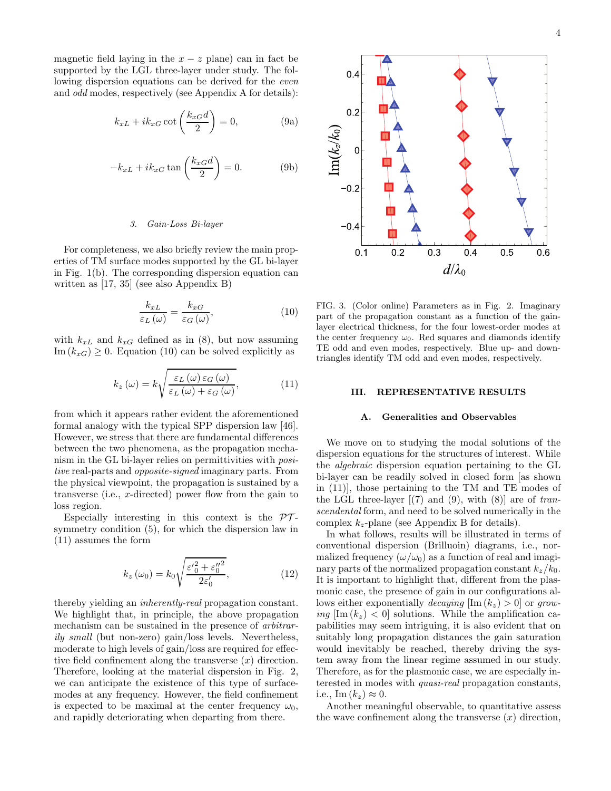magnetic field laying in the  $x - z$  plane) can in fact be supported by the LGL three-layer under study. The following dispersion equations can be derived for the even and odd modes, respectively (see Appendix A for details):

$$
k_{xL} + ik_{xG} \cot\left(\frac{k_{xG}d}{2}\right) = 0, \tag{9a}
$$

$$
-k_{xL} + ik_{xG} \tan\left(\frac{k_{xG}d}{2}\right) = 0.
$$
 (9b)

# *3. Gain-Loss Bi-layer*

For completeness, we also briefly review the main properties of TM surface modes supported by the GL bi-layer in Fig. 1(b). The corresponding dispersion equation can written as [17, 35] (see also Appendix B)

$$
\frac{k_{xL}}{\varepsilon_L(\omega)} = \frac{k_{xG}}{\varepsilon_G(\omega)},\tag{10}
$$

with  $k_{xL}$  and  $k_{xG}$  defined as in (8), but now assuming Im  $(k_{xG}) \geq 0$ . Equation (10) can be solved explicitly as

$$
k_z(\omega) = k \sqrt{\frac{\varepsilon_L(\omega)\,\varepsilon_G(\omega)}{\varepsilon_L(\omega) + \varepsilon_G(\omega)}},\tag{11}
$$

from which it appears rather evident the aforementioned formal analogy with the typical SPP dispersion law [46]. However, we stress that there are fundamental differences between the two phenomena, as the propagation mechanism in the GL bi-layer relies on permittivities with positive real-parts and *opposite-signed* imaginary parts. From the physical viewpoint, the propagation is sustained by a transverse (i.e., x-directed) power flow from the gain to loss region.

Especially interesting in this context is the  $\mathcal{PT}$ symmetry condition (5), for which the dispersion law in (11) assumes the form

$$
k_z(\omega_0) = k_0 \sqrt{\frac{{\varepsilon'}_0^2 + {\varepsilon_0''}^2}{2\varepsilon_0'}},\tag{12}
$$

thereby yielding an inherently-real propagation constant. We highlight that, in principle, the above propagation mechanism can be sustained in the presence of arbitrarily small (but non-zero) gain/loss levels. Nevertheless, moderate to high levels of gain/loss are required for effective field confinement along the transverse  $(x)$  direction. Therefore, looking at the material dispersion in Fig. 2, we can anticipate the existence of this type of surfacemodes at any frequency. However, the field confinement is expected to be maximal at the center frequency  $\omega_0$ , and rapidly deteriorating when departing from there.



FIG. 3. (Color online) Parameters as in Fig. 2. Imaginary part of the propagation constant as a function of the gainlayer electrical thickness, for the four lowest-order modes at the center frequency  $\omega_0$ . Red squares and diamonds identify TE odd and even modes, respectively. Blue up- and downtriangles identify TM odd and even modes, respectively.

#### III. REPRESENTATIVE RESULTS

# A. Generalities and Observables

We move on to studying the modal solutions of the dispersion equations for the structures of interest. While the algebraic dispersion equation pertaining to the GL bi-layer can be readily solved in closed form [as shown in (11)], those pertaining to the TM and TE modes of the LGL three-layer  $[(7)$  and  $(9)$ , with  $(8)]$  are of transcendental form, and need to be solved numerically in the complex  $k_z$ -plane (see Appendix B for details).

In what follows, results will be illustrated in terms of conventional dispersion (Brilluoin) diagrams, i.e., normalized frequency  $(\omega/\omega_0)$  as a function of real and imaginary parts of the normalized propagation constant  $k_z/k_0$ . It is important to highlight that, different from the plasmonic case, the presence of gain in our configurations allows either exponentially *decaying*  $[\text{Im}(k_z) > 0]$  or growing  $\text{Im}(k_z) < 0$  solutions. While the amplification capabilities may seem intriguing, it is also evident that on suitably long propagation distances the gain saturation would inevitably be reached, thereby driving the system away from the linear regime assumed in our study. Therefore, as for the plasmonic case, we are especially interested in modes with quasi-real propagation constants, i.e.,  $\text{Im}(k_z) \approx 0$ .

Another meaningful observable, to quantitative assess the wave confinement along the transverse  $(x)$  direction,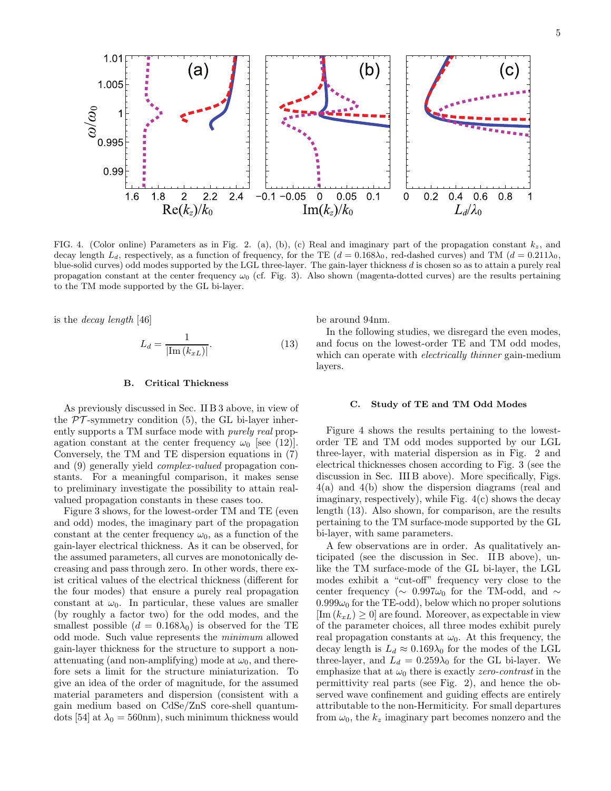

FIG. 4. (Color online) Parameters as in Fig. 2. (a), (b), (c) Real and imaginary part of the propagation constant  $k_z$ , and decay length  $L_d$ , respectively, as a function of frequency, for the TE  $(d = 0.168\lambda_0)$ , red-dashed curves) and TM  $(d = 0.211\lambda_0)$ , blue-solid curves) odd modes supported by the LGL three-layer. The gain-layer thickness d is chosen so as to attain a purely real propagation constant at the center frequency  $\omega_0$  (cf. Fig. 3). Also shown (magenta-dotted curves) are the results pertaining to the TM mode supported by the GL bi-layer.

is the decay length [46]

$$
L_d = \frac{1}{|\text{Im}(k_{xL})|}.\tag{13}
$$

### B. Critical Thickness

As previously discussed in Sec. II B 3 above, in view of the  $PT$ -symmetry condition (5), the GL bi-layer inherently supports a TM surface mode with purely real propagation constant at the center frequency  $\omega_0$  [see (12)]. Conversely, the TM and TE dispersion equations in (7) and (9) generally yield complex-valued propagation constants. For a meaningful comparison, it makes sense to preliminary investigate the possibility to attain realvalued propagation constants in these cases too.

Figure 3 shows, for the lowest-order TM and TE (even and odd) modes, the imaginary part of the propagation constant at the center frequency  $\omega_0$ , as a function of the gain-layer electrical thickness. As it can be observed, for the assumed parameters, all curves are monotonically decreasing and pass through zero. In other words, there exist critical values of the electrical thickness (different for the four modes) that ensure a purely real propagation constant at  $\omega_0$ . In particular, these values are smaller (by roughly a factor two) for the odd modes, and the smallest possible  $(d = 0.168\lambda_0)$  is observed for the TE odd mode. Such value represents the minimum allowed gain-layer thickness for the structure to support a nonattenuating (and non-amplifying) mode at  $\omega_0$ , and therefore sets a limit for the structure miniaturization. To give an idea of the order of magnitude, for the assumed material parameters and dispersion (consistent with a gain medium based on CdSe/ZnS core-shell quantumdots [54] at  $\lambda_0 = 560$ nm), such minimum thickness would

be around 94nm.

In the following studies, we disregard the even modes, and focus on the lowest-order TE and TM odd modes, which can operate with *electrically thinner* gain-medium layers.

#### C. Study of TE and TM Odd Modes

Figure 4 shows the results pertaining to the lowestorder TE and TM odd modes supported by our LGL three-layer, with material dispersion as in Fig. 2 and electrical thicknesses chosen according to Fig. 3 (see the discussion in Sec. III B above). More specifically, Figs. 4(a) and 4(b) show the dispersion diagrams (real and imaginary, respectively), while Fig. 4(c) shows the decay length (13). Also shown, for comparison, are the results pertaining to the TM surface-mode supported by the GL bi-layer, with same parameters.

A few observations are in order. As qualitatively anticipated (see the discussion in Sec. II B above), unlike the TM surface-mode of the GL bi-layer, the LGL modes exhibit a "cut-off" frequency very close to the center frequency ( $\sim$  0.997 $\omega_0$  for the TM-odd, and  $\sim$  $0.999\omega_0$  for the TE-odd), below which no proper solutions  $[\text{Im}(k_{xL}) \geq 0]$  are found. Moreover, as expectable in view of the parameter choices, all three modes exhibit purely real propagation constants at  $\omega_0$ . At this frequency, the decay length is  $L_d \approx 0.169\lambda_0$  for the modes of the LGL three-layer, and  $L_d = 0.259\lambda_0$  for the GL bi-layer. We emphasize that at  $\omega_0$  there is exactly *zero-contrast* in the permittivity real parts (see Fig. 2), and hence the observed wave confinement and guiding effects are entirely attributable to the non-Hermiticity. For small departures from  $\omega_0$ , the  $k_z$  imaginary part becomes nonzero and the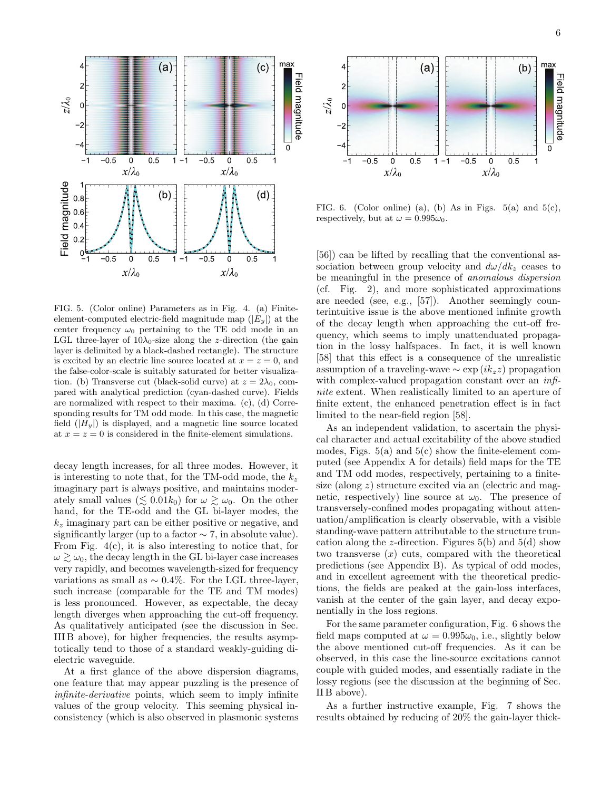

FIG. 5. (Color online) Parameters as in Fig. 4. (a) Finiteelement-computed electric-field magnitude map  $(|E_y|)$  at the center frequency  $\omega_0$  pertaining to the TE odd mode in an LGL three-layer of  $10\lambda_0$ -size along the z-direction (the gain layer is delimited by a black-dashed rectangle). The structure is excited by an electric line source located at  $x = z = 0$ , and the false-color-scale is suitably saturated for better visualization. (b) Transverse cut (black-solid curve) at  $z = 2\lambda_0$ , compared with analytical prediction (cyan-dashed curve). Fields are normalized with respect to their maxima. (c), (d) Corresponding results for TM odd mode. In this case, the magnetic field  $(|H_u|)$  is displayed, and a magnetic line source located at  $x = z = 0$  is considered in the finite-element simulations.

decay length increases, for all three modes. However, it is interesting to note that, for the TM-odd mode, the  $k_z$ imaginary part is always positive, and maintains moderately small values ( $\leq 0.01k_0$ ) for  $\omega \geq \omega_0$ . On the other hand, for the TE-odd and the GL bi-layer modes, the  $k_z$  imaginary part can be either positive or negative, and significantly larger (up to a factor  $\sim$  7, in absolute value). From Fig. 4(c), it is also interesting to notice that, for  $\omega \gtrsim \omega_0$ , the decay length in the GL bi-layer case increases very rapidly, and becomes wavelength-sized for frequency variations as small as  $\sim 0.4\%$ . For the LGL three-layer, such increase (comparable for the TE and TM modes) is less pronounced. However, as expectable, the decay length diverges when approaching the cut-off frequency. As qualitatively anticipated (see the discussion in Sec. III B above), for higher frequencies, the results asymptotically tend to those of a standard weakly-guiding dielectric waveguide.

At a first glance of the above dispersion diagrams, one feature that may appear puzzling is the presence of infinite-derivative points, which seem to imply infinite values of the group velocity. This seeming physical inconsistency (which is also observed in plasmonic systems



FIG. 6. (Color online) (a), (b) As in Figs.  $5(a)$  and  $5(c)$ , respectively, but at  $\omega = 0.995\omega_0$ .

[56]) can be lifted by recalling that the conventional association between group velocity and  $d\omega/dk_z$  ceases to be meaningful in the presence of anomalous dispersion (cf. Fig. 2), and more sophisticated approximations are needed (see, e.g., [57]). Another seemingly counterintuitive issue is the above mentioned infinite growth of the decay length when approaching the cut-off frequency, which seems to imply unattenduated propagation in the lossy halfspaces. In fact, it is well known [58] that this effect is a consequence of the unrealistic assumption of a traveling-wave  $\sim \exp(i k_z z)$  propagation with complex-valued propagation constant over an *infi*nite extent. When realistically limited to an aperture of finite extent, the enhanced penetration effect is in fact limited to the near-field region [58].

As an independent validation, to ascertain the physical character and actual excitability of the above studied modes, Figs.  $5(a)$  and  $5(c)$  show the finite-element computed (see Appendix A for details) field maps for the TE and TM odd modes, respectively, pertaining to a finitesize (along  $z$ ) structure excited via an (electric and magnetic, respectively) line source at  $\omega_0$ . The presence of transversely-confined modes propagating without attenuation/amplification is clearly observable, with a visible standing-wave pattern attributable to the structure truncation along the z-direction. Figures  $5(b)$  and  $5(d)$  show two transverse  $(x)$  cuts, compared with the theoretical predictions (see Appendix B). As typical of odd modes, and in excellent agreement with the theoretical predictions, the fields are peaked at the gain-loss interfaces, vanish at the center of the gain layer, and decay exponentially in the loss regions.

For the same parameter configuration, Fig. 6 shows the field maps computed at  $\omega = 0.995\omega_0$ , i.e., slightly below the above mentioned cut-off frequencies. As it can be observed, in this case the line-source excitations cannot couple with guided modes, and essentially radiate in the lossy regions (see the discussion at the beginning of Sec. II B above).

As a further instructive example, Fig. 7 shows the results obtained by reducing of 20% the gain-layer thick-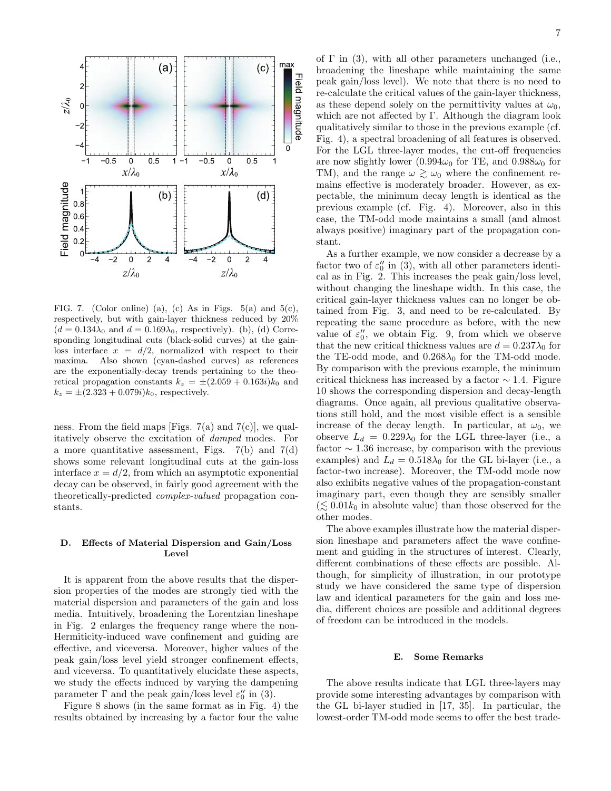

FIG. 7. (Color online) (a), (c) As in Figs.  $5(a)$  and  $5(c)$ , respectively, but with gain-layer thickness reduced by 20%  $(d = 0.134\lambda_0$  and  $d = 0.169\lambda_0$ , respectively). (b), (d) Corresponding longitudinal cuts (black-solid curves) at the gainloss interface  $x = d/2$ , normalized with respect to their maxima. Also shown (cyan-dashed curves) as references are the exponentially-decay trends pertaining to the theoretical propagation constants  $k_z = \pm (2.059 + 0.163i)k_0$  and  $k_z = \pm (2.323 + 0.079i)k_0$ , respectively.

ness. From the field maps [Figs.  $7(a)$  and  $7(c)$ ], we qualitatively observe the excitation of damped modes. For a more quantitative assessment, Figs.  $7(b)$  and  $7(d)$ shows some relevant longitudinal cuts at the gain-loss interface  $x = d/2$ , from which an asymptotic exponential decay can be observed, in fairly good agreement with the theoretically-predicted complex-valued propagation constants.

# D. Effects of Material Dispersion and Gain/Loss Level

It is apparent from the above results that the dispersion properties of the modes are strongly tied with the material dispersion and parameters of the gain and loss media. Intuitively, broadening the Lorentzian lineshape in Fig. 2 enlarges the frequency range where the non-Hermiticity-induced wave confinement and guiding are effective, and viceversa. Moreover, higher values of the peak gain/loss level yield stronger confinement effects, and viceversa. To quantitatively elucidate these aspects, we study the effects induced by varying the dampening parameter  $\Gamma$  and the peak gain/loss level  $\varepsilon_0''$  in (3).

Figure 8 shows (in the same format as in Fig. 4) the results obtained by increasing by a factor four the value of  $\Gamma$  in (3), with all other parameters unchanged (i.e., broadening the lineshape while maintaining the same peak gain/loss level). We note that there is no need to re-calculate the critical values of the gain-layer thickness, as these depend solely on the permittivity values at  $\omega_0$ , which are not affected by Γ. Although the diagram look qualitatively similar to those in the previous example (cf. Fig. 4), a spectral broadening of all features is observed. For the LGL three-layer modes, the cut-off frequencies are now slightly lower (0.994 $\omega_0$  for TE, and 0.988 $\omega_0$  for TM), and the range  $\omega \gtrsim \omega_0$  where the confinement remains effective is moderately broader. However, as expectable, the minimum decay length is identical as the previous example (cf. Fig. 4). Moreover, also in this case, the TM-odd mode maintains a small (and almost always positive) imaginary part of the propagation constant.

As a further example, we now consider a decrease by a factor two of  $\varepsilon_0''$  in (3), with all other parameters identical as in Fig. 2. This increases the peak gain/loss level, without changing the lineshape width. In this case, the critical gain-layer thickness values can no longer be obtained from Fig. 3, and need to be re-calculated. By repeating the same procedure as before, with the new value of  $\varepsilon_0''$ , we obtain Fig. 9, from which we observe that the new critical thickness values are  $d = 0.237\lambda_0$  for the TE-odd mode, and  $0.268\lambda_0$  for the TM-odd mode. By comparison with the previous example, the minimum critical thickness has increased by a factor  $\sim$  1.4. Figure 10 shows the corresponding dispersion and decay-length diagrams. Once again, all previous qualitative observations still hold, and the most visible effect is a sensible increase of the decay length. In particular, at  $\omega_0$ , we observe  $L_d = 0.229\lambda_0$  for the LGL three-layer (i.e., a factor  $\sim$  1.36 increase, by comparison with the previous examples) and  $L_d = 0.518\lambda_0$  for the GL bi-layer (i.e., a factor-two increase). Moreover, the TM-odd mode now also exhibits negative values of the propagation-constant imaginary part, even though they are sensibly smaller  $(\leq 0.01k_0$  in absolute value) than those observed for the other modes.

The above examples illustrate how the material dispersion lineshape and parameters affect the wave confinement and guiding in the structures of interest. Clearly, different combinations of these effects are possible. Although, for simplicity of illustration, in our prototype study we have considered the same type of dispersion law and identical parameters for the gain and loss media, different choices are possible and additional degrees of freedom can be introduced in the models.

# E. Some Remarks

The above results indicate that LGL three-layers may provide some interesting advantages by comparison with the GL bi-layer studied in [17, 35]. In particular, the lowest-order TM-odd mode seems to offer the best trade-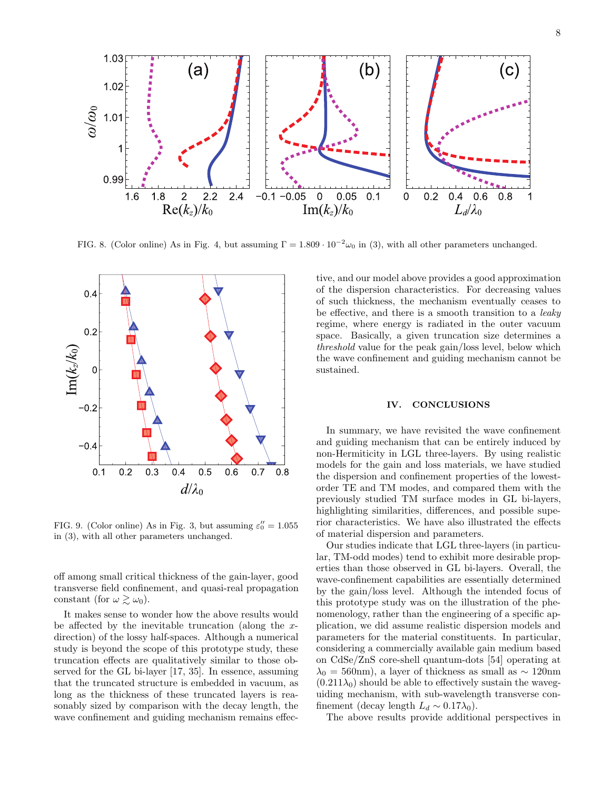

FIG. 8. (Color online) As in Fig. 4, but assuming  $\Gamma = 1.809 \cdot 10^{-2} \omega_0$  in (3), with all other parameters unchanged.



FIG. 9. (Color online) As in Fig. 3, but assuming  $\varepsilon_0'' = 1.055$ in (3), with all other parameters unchanged.

off among small critical thickness of the gain-layer, good transverse field confinement, and quasi-real propagation constant (for  $\omega \gtrsim \omega_0$ ).

It makes sense to wonder how the above results would be affected by the inevitable truncation (along the  $x$ direction) of the lossy half-spaces. Although a numerical study is beyond the scope of this prototype study, these truncation effects are qualitatively similar to those observed for the GL bi-layer [17, 35]. In essence, assuming that the truncated structure is embedded in vacuum, as long as the thickness of these truncated layers is reasonably sized by comparison with the decay length, the wave confinement and guiding mechanism remains effec-

tive, and our model above provides a good approximation of the dispersion characteristics. For decreasing values of such thickness, the mechanism eventually ceases to be effective, and there is a smooth transition to a leaky regime, where energy is radiated in the outer vacuum space. Basically, a given truncation size determines a threshold value for the peak gain/loss level, below which the wave confinement and guiding mechanism cannot be sustained.

### IV. CONCLUSIONS

In summary, we have revisited the wave confinement and guiding mechanism that can be entirely induced by non-Hermiticity in LGL three-layers. By using realistic models for the gain and loss materials, we have studied the dispersion and confinement properties of the lowestorder TE and TM modes, and compared them with the previously studied TM surface modes in GL bi-layers, highlighting similarities, differences, and possible superior characteristics. We have also illustrated the effects of material dispersion and parameters.

Our studies indicate that LGL three-layers (in particular, TM-odd modes) tend to exhibit more desirable properties than those observed in GL bi-layers. Overall, the wave-confinement capabilities are essentially determined by the gain/loss level. Although the intended focus of this prototype study was on the illustration of the phenomenology, rather than the engineering of a specific application, we did assume realistic dispersion models and parameters for the material constituents. In particular, considering a commercially available gain medium based on CdSe/ZnS core-shell quantum-dots [54] operating at  $\lambda_0 = 560$ nm), a layer of thickness as small as ~ 120nm  $(0.211\lambda_0)$  should be able to effectively sustain the waveguiding mechanism, with sub-wavelength transverse confinement (decay length  $L_d \sim 0.17\lambda_0$ ).

The above results provide additional perspectives in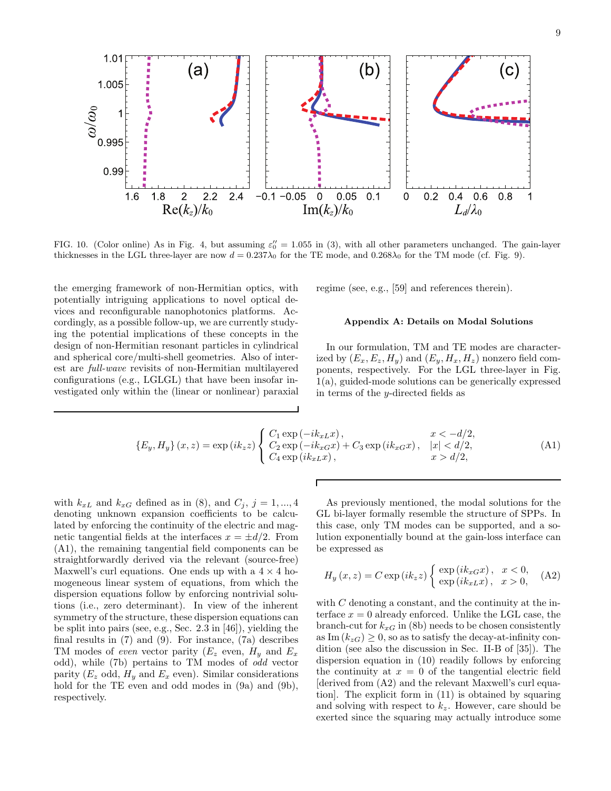

FIG. 10. (Color online) As in Fig. 4, but assuming  $\varepsilon_0'' = 1.055$  in (3), with all other parameters unchanged. The gain-layer thicknesses in the LGL three-layer are now  $d = 0.237\lambda_0$  for the TE mode, and  $0.268\lambda_0$  for the TM mode (cf. Fig. 9).

the emerging framework of non-Hermitian optics, with potentially intriguing applications to novel optical devices and reconfigurable nanophotonics platforms. Accordingly, as a possible follow-up, we are currently studying the potential implications of these concepts in the design of non-Hermitian resonant particles in cylindrical and spherical core/multi-shell geometries. Also of interest are full-wave revisits of non-Hermitian multilayered configurations (e.g., LGLGL) that have been insofar investigated only within the (linear or nonlinear) paraxial regime (see, e.g., [59] and references therein).

### Appendix A: Details on Modal Solutions

In our formulation, TM and TE modes are characterized by  $(E_x, E_z, H_y)$  and  $(E_y, H_x, H_z)$  nonzero field components, respectively. For the LGL three-layer in Fig. 1(a), guided-mode solutions can be generically expressed in terms of the y-directed fields as

$$
\{E_y, H_y\}(x, z) = \exp(ik_z z) \begin{cases} C_1 \exp(-ik_x x), & x < -d/2, \\ C_2 \exp(-ik_x x) + C_3 \exp(ik_x x), & |x| < d/2, \\ C_4 \exp(ik_x x), & x > d/2, \end{cases}
$$
(A1)

Г

with  $k_{xL}$  and  $k_{xG}$  defined as in (8), and  $C_j$ ,  $j=1,...,4$ denoting unknown expansion coefficients to be calculated by enforcing the continuity of the electric and magnetic tangential fields at the interfaces  $x = \pm d/2$ . From (A1), the remaining tangential field components can be straightforwardly derived via the relevant (source-free) Maxwell's curl equations. One ends up with a  $4 \times 4$  homogeneous linear system of equations, from which the dispersion equations follow by enforcing nontrivial solutions (i.e., zero determinant). In view of the inherent symmetry of the structure, these dispersion equations can be split into pairs (see, e.g., Sec. 2.3 in [46]), yielding the final results in (7) and (9). For instance, (7a) describes TM modes of even vector parity  $(E_z \text{ even}, H_y \text{ and } E_x)$ odd), while (7b) pertains to TM modes of odd vector parity ( $E_z$  odd,  $H_y$  and  $E_x$  even). Similar considerations hold for the TE even and odd modes in  $(9a)$  and  $(9b)$ , respectively.

As previously mentioned, the modal solutions for the GL bi-layer formally resemble the structure of SPPs. In this case, only TM modes can be supported, and a solution exponentially bound at the gain-loss interface can be expressed as

$$
H_y(x, z) = C \exp(ik_z z) \begin{cases} \exp(ik_x G x), & x < 0, \\ \exp(ik_x L x), & x > 0, \end{cases}
$$
 (A2)

with  $C$  denoting a constant, and the continuity at the interface  $x = 0$  already enforced. Unlike the LGL case, the branch-cut for  $k_{xG}$  in (8b) needs to be chosen consistently as Im  $(k_{zG}) \geq 0$ , so as to satisfy the decay-at-infinity condition (see also the discussion in Sec. II-B of [35]). The dispersion equation in (10) readily follows by enforcing the continuity at  $x = 0$  of the tangential electric field [derived from (A2) and the relevant Maxwell's curl equation]. The explicit form in (11) is obtained by squaring and solving with respect to  $k_z$ . However, care should be exerted since the squaring may actually introduce some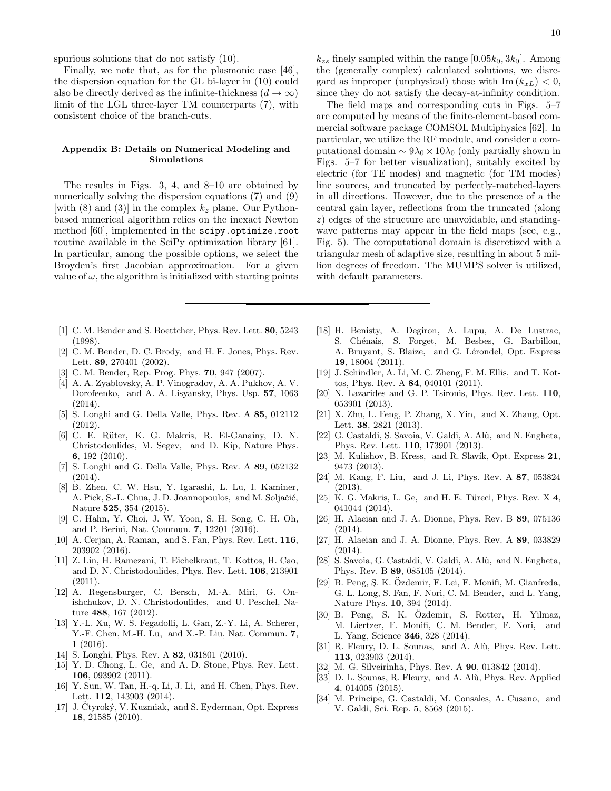Finally, we note that, as for the plasmonic case [46], the dispersion equation for the GL bi-layer in (10) could also be directly derived as the infinite-thickness  $(d \to \infty)$ limit of the LGL three-layer TM counterparts (7), with consistent choice of the branch-cuts.

### Appendix B: Details on Numerical Modeling and Simulations

The results in Figs. 3, 4, and 8–10 are obtained by numerically solving the dispersion equations (7) and (9) [with (8) and (3)] in the complex  $k_z$  plane. Our Pythonbased numerical algorithm relies on the inexact Newton method [60], implemented in the scipy.optimize.root routine available in the SciPy optimization library [61]. In particular, among the possible options, we select the Broyden's first Jacobian approximation. For a given value of  $\omega$ , the algorithm is initialized with starting points

- [1] C. M. Bender and S. Boettcher, Phys. Rev. Lett. **80**, 5243 (1998).
- [2] C. M. Bender, D. C. Brody, and H. F. Jones, Phys. Rev. Lett. 89, 270401 (2002).
- [3] C. M. Bender, Rep. Prog. Phys. **70**, 947 (2007).
- [4] A. A. Zyablovsky, A. P. Vinogradov, A. A. Pukhov, A. V. Dorofeenko, and A. A. Lisyansky, Phys. Usp. 57, 1063  $(2014)$ .
- [5] S. Longhi and G. Della Valle, Phys. Rev. A 85, 012112 (2012).
- [6] C. E. R¨uter, K. G. Makris, R. El-Ganainy, D. N. Christodoulides, M. Segev, and D. Kip, Nature Phys. 6, 192 (2010).
- [7] S. Longhi and G. Della Valle, Phys. Rev. A 89, 052132 (2014).
- [8] B. Zhen, C. W. Hsu, Y. Igarashi, L. Lu, I. Kaminer, A. Pick, S.-L. Chua, J. D. Joannopoulos, and M. Soljačić, Nature 525, 354 (2015).
- [9] C. Hahn, Y. Choi, J. W. Yoon, S. H. Song, C. H. Oh, and P. Berini, Nat. Commun. 7, 12201 (2016).
- [10] A. Cerjan, A. Raman, and S. Fan, Phys. Rev. Lett. **116**, 203902 (2016).
- [11] Z. Lin, H. Ramezani, T. Eichelkraut, T. Kottos, H. Cao, and D. N. Christodoulides, Phys. Rev. Lett. 106, 213901  $(2011).$
- [12] A. Regensburger, C. Bersch, M.-A. Miri, G. Onishchukov, D. N. Christodoulides, and U. Peschel, Nature 488, 167 (2012).
- [13] Y.-L. Xu, W. S. Fegadolli, L. Gan, Z.-Y. Li, A. Scherer, Y.-F. Chen, M.-H. Lu, and X.-P. Liu, Nat. Commun. 7, 1 (2016).
- [14] S. Longhi, Phys. Rev. A **82**, 031801 (2010).
- [15] Y. D. Chong, L. Ge, and A. D. Stone, Phys. Rev. Lett. 106, 093902 (2011).
- [16] Y. Sun, W. Tan, H.-q. Li, J. Li, and H. Chen, Phys. Rev. Lett. 112, 143903 (2014).
- [17] J. Čtyroký, V. Kuzmiak, and S. Eyderman, Opt. Express 18, 21585 (2010).

 $k_{zs}$  finely sampled within the range [0.05 $k_0$ , 3 $k_0$ ]. Among the (generally complex) calculated solutions, we disregard as improper (unphysical) those with  $\text{Im}(k_{xL}) < 0$ , since they do not satisfy the decay-at-infinity condition.

The field maps and corresponding cuts in Figs. 5–7 are computed by means of the finite-element-based commercial software package COMSOL Multiphysics [62]. In particular, we utilize the RF module, and consider a computational domain  $\sim 9\lambda_0 \times 10\lambda_0$  (only partially shown in Figs. 5–7 for better visualization), suitably excited by electric (for TE modes) and magnetic (for TM modes) line sources, and truncated by perfectly-matched-layers in all directions. However, due to the presence of a the central gain layer, reflections from the truncated (along z) edges of the structure are unavoidable, and standingwave patterns may appear in the field maps (see, e.g., Fig. 5). The computational domain is discretized with a triangular mesh of adaptive size, resulting in about 5 million degrees of freedom. The MUMPS solver is utilized, with default parameters.

- [18] H. Benisty, A. Degiron, A. Lupu, A. De Lustrac, S. Chénais, S. Forget, M. Besbes, G. Barbillon, A. Bruyant, S. Blaize, and G. Lérondel, Opt. Express 19, 18004 (2011).
- [19] J. Schindler, A. Li, M. C. Zheng, F. M. Ellis, and T. Kottos, Phys. Rev. A 84, 040101 (2011).
- [20] N. Lazarides and G. P. Tsironis, Phys. Rev. Lett. 110, 053901 (2013).
- [21] X. Zhu, L. Feng, P. Zhang, X. Yin, and X. Zhang, Opt. Lett. 38, 2821 (2013).
- [22] G. Castaldi, S. Savoia, V. Galdi, A. Alù, and N. Engheta, Phys. Rev. Lett. 110, 173901 (2013).
- [23] M. Kulishov, B. Kress, and R. Slavík, Opt. Express 21, 9473 (2013).
- [24] M. Kang, F. Liu, and J. Li, Phys. Rev. A 87, 053824 (2013).
- [25] K. G. Makris, L. Ge, and H. E. Türeci, Phys. Rev.  $X$  4, 041044 (2014).
- [26] H. Alaeian and J. A. Dionne, Phys. Rev. B 89, 075136 (2014).
- [27] H. Alaeian and J. A. Dionne, Phys. Rev. A 89, 033829 (2014).
- [28] S. Savoia, G. Castaldi, V. Galdi, A. Alù, and N. Engheta, Phys. Rev. B 89, 085105 (2014).
- [29] B. Peng, S. K. Özdemir, F. Lei, F. Monifi, M. Gianfreda, G. L. Long, S. Fan, F. Nori, C. M. Bender, and L. Yang, Nature Phys. 10, 394 (2014).
- [30] B. Peng, S. K. Özdemir, S. Rotter, H. Yilmaz, M. Liertzer, F. Monifi, C. M. Bender, F. Nori, and L. Yang, Science 346, 328 (2014).
- [31] R. Fleury, D. L. Sounas, and A. Alù, Phys. Rev. Lett. 113, 023903 (2014).
- [32] M. G. Silveirinha, Phys. Rev. A 90, 013842 (2014).
- [33] D. L. Sounas, R. Fleury, and A. Alù, Phys. Rev. Applied 4, 014005 (2015).
- [34] M. Principe, G. Castaldi, M. Consales, A. Cusano, and V. Galdi, Sci. Rep. 5, 8568 (2015).